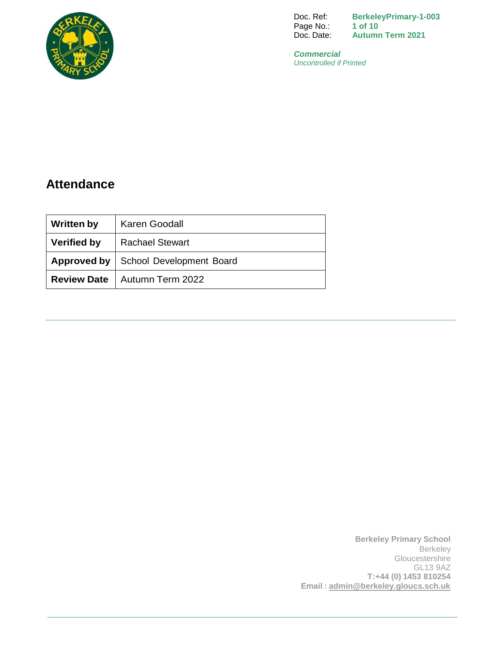

Doc. Ref: Page No.: Doc. Date: **BerkeleyPrimary-1-003 1 of 10 Autumn Term 2021**

*Commercial Uncontrolled if Printed*

# **Attendance**

| <b>Written by</b>  | Karen Goodall                                 |  |
|--------------------|-----------------------------------------------|--|
| <b>Verified by</b> | <b>Rachael Stewart</b>                        |  |
|                    | <b>Approved by   School Development Board</b> |  |
|                    | <b>Review Date</b>   Autumn Term 2022         |  |

**Berkeley Primary School** Berkeley **Gloucestershire** GL13 9AZ **T:+44 (0) 1453 810254 Email : [admin@berkeley.gloucs.sch.uk](mailto:admin@berkeley.gloucs.sch.uk)**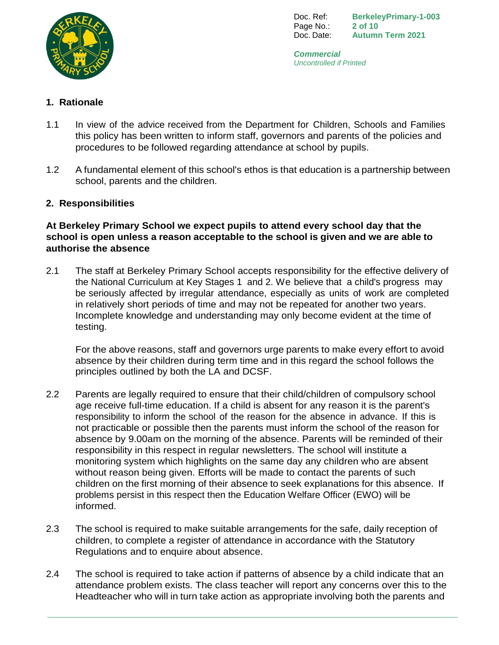

Doc. Ref: Page No.: Doc. Date: **BerkeleyPrimary-1-003 2 of 10 Autumn Term 2021**

*Commercial Uncontrolled if Printed*

# **1. Rationale**

- 1.1 In view of the advice received from the Department for Children, Schools and Families this policy has been written to inform staff, governors and parents of the policies and procedures to be followed regarding attendance at school by pupils.
- 1.2 A fundamental element of this school's ethos is that education is a partnership between school, parents and the children.

# **2. Responsibilities**

#### **At Berkeley Primary School we expect pupils to attend every school day that the school is open unless a reason acceptable to the school is given and we are able to authorise the absence**

2.1 The staff at Berkeley Primary School accepts responsibility for the effective delivery of the National Curriculum at Key Stages 1 and 2. We believe that a child's progress may be seriously affected by irregular attendance, especially as units of work are completed in relatively short periods of time and may not be repeated for another two years. Incomplete knowledge and understanding may only become evident at the time of testing.

For the above reasons, staff and governors urge parents to make every effort to avoid absence by their children during term time and in this regard the school follows the principles outlined by both the LA and DCSF.

- 2.2 Parents are legally required to ensure that their child/children of compulsory school age receive full-time education. If a child is absent for any reason it is the parent's responsibility to inform the school of the reason for the absence in advance. If this is not practicable or possible then the parents must inform the school of the reason for absence by 9.00am on the morning of the absence. Parents will be reminded of their responsibility in this respect in regular newsletters. The school will institute a monitoring system which highlights on the same day any children who are absent without reason being given. Efforts will be made to contact the parents of such children on the first morning of their absence to seek explanations for this absence. If problems persist in this respect then the Education Welfare Officer (EWO) will be informed.
- 2.3 The school is required to make suitable arrangements for the safe, daily reception of children, to complete a register of attendance in accordance with the Statutory Regulations and to enquire about absence.
- 2.4 The school is required to take action if patterns of absence by a child indicate that an attendance problem exists. The class teacher will report any concerns over this to the Headteacher who will in turn take action as appropriate involving both the parents and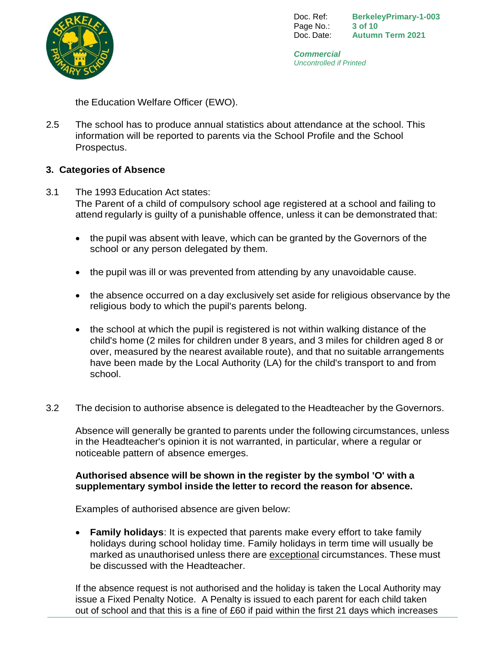

Doc. Ref: Page No.: Doc. Date: **BerkeleyPrimary-1-003 3 of 10 Autumn Term 2021**

*Commercial Uncontrolled if Printed*

the Education Welfare Officer (EWO).

2.5 The school has to produce annual statistics about attendance at the school. This information will be reported to parents via the School Profile and the School Prospectus.

# **3. Categories of Absence**

- 3.1 The 1993 Education Act states: The Parent of a child of compulsory school age registered at a school and failing to attend regularly is guilty of a punishable offence, unless it can be demonstrated that:
	- the pupil was absent with leave, which can be granted by the Governors of the school or any person delegated by them.
	- the pupil was ill or was prevented from attending by any unavoidable cause.
	- the absence occurred on a day exclusively set aside for religious observance by the religious body to which the pupil's parents belong.
	- the school at which the pupil is registered is not within walking distance of the child's home (2 miles for children under 8 years, and 3 miles for children aged 8 or over, measured by the nearest available route), and that no suitable arrangements have been made by the Local Authority (LA) for the child's transport to and from school.
- 3.2 The decision to authorise absence is delegated to the Headteacher by the Governors.

Absence will generally be granted to parents under the following circumstances, unless in the Headteacher's opinion it is not warranted, in particular, where a regular or noticeable pattern of absence emerges.

# **Authorised absence will be shown in the register by the symbol 'O' with a supplementary symbol inside the letter to record the reason for absence.**

Examples of authorised absence are given below:

 **Family holidays**: It is expected that parents make every effort to take family holidays during school holiday time. Family holidays in term time will usually be marked as unauthorised unless there are exceptional circumstances. These must be discussed with the Headteacher.

If the absence request is not authorised and the holiday is taken the Local Authority may issue a Fixed Penalty Notice. A Penalty is issued to each parent for each child taken out of school and that this is a fine of £60 if paid within the first 21 days which increases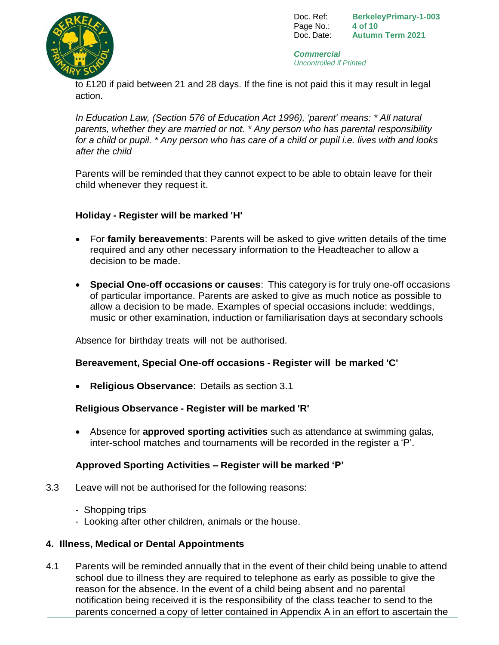Doc. Ref: Page No.: Doc. Date: **BerkeleyPrimary-1-003 4 of 10 Autumn Term 2021**



*Commercial Uncontrolled if Printed*

to £120 if paid between 21 and 28 days. If the fine is not paid this it may result in legal action.

*In Education Law, (Section 576 of Education Act 1996), 'parent' means: \* All natural parents, whether they are married or not. \* Any person who has parental responsibility for a child or pupil. \* Any person who has care of a child or pupil i.e. lives with and looks after the child*

Parents will be reminded that they cannot expect to be able to obtain leave for their child whenever they request it.

# **Holiday - Register will be marked 'H'**

- For **family bereavements**: Parents will be asked to give written details of the time required and any other necessary information to the Headteacher to allow a decision to be made.
- **Special One-off occasions or causes**: This category is for truly one-off occasions of particular importance. Parents are asked to give as much notice as possible to allow a decision to be made. Examples of special occasions include: weddings, music or other examination, induction or familiarisation days at secondary schools

Absence for birthday treats will not be authorised.

# **Bereavement, Special One-off occasions - Register will be marked 'C'**

**Religious Observance**: Details as section 3.1

# **Religious Observance - Register will be marked 'R'**

 Absence for **approved sporting activities** such as attendance at swimming galas, inter-school matches and tournaments will be recorded in the register a 'P'.

# **Approved Sporting Activities – Register will be marked 'P'**

- 3.3 Leave will not be authorised for the following reasons:
	- Shopping trips
	- Looking after other children, animals or the house.

# **4. Illness, Medical or Dental Appointments**

4.1 Parents will be reminded annually that in the event of their child being unable to attend school due to illness they are required to telephone as early as possible to give the reason for the absence. In the event of a child being absent and no parental notification being received it is the responsibility of the class teacher to send to the parents concerned a copy of letter contained in Appendix A in an effort to ascertain the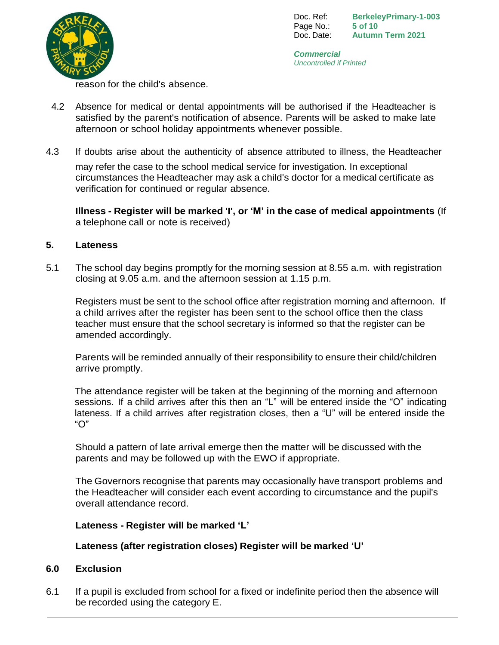

Doc. Ref: Page No.: Doc. Date: **BerkeleyPrimary-1-003 5 of 10 Autumn Term 2021**

*Commercial Uncontrolled if Printed*

reason for the child's absence.

- 4.2 Absence for medical or dental appointments will be authorised if the Headteacher is satisfied by the parent's notification of absence. Parents will be asked to make late afternoon or school holiday appointments whenever possible.
- 4.3 If doubts arise about the authenticity of absence attributed to illness, the Headteacher may refer the case to the school medical service for investigation. In exceptional circumstances the Headteacher may ask a child's doctor for a medical certificate as verification for continued or regular absence.

**Illness - Register will be marked 'I', or 'M' in the case of medical appointments** (If a telephone call or note is received)

#### **5. Lateness**

5.1 The school day begins promptly for the morning session at 8.55 a.m. with registration closing at 9.05 a.m. and the afternoon session at 1.15 p.m.

Registers must be sent to the school office after registration morning and afternoon. If a child arrives after the register has been sent to the school office then the class teacher must ensure that the school secretary is informed so that the register can be amended accordingly.

Parents will be reminded annually of their responsibility to ensure their child/children arrive promptly.

The attendance register will be taken at the beginning of the morning and afternoon sessions. If a child arrives after this then an "L" will be entered inside the "O" indicating lateness. If a child arrives after registration closes, then a "U" will be entered inside the "O"

Should a pattern of late arrival emerge then the matter will be discussed with the parents and may be followed up with the EWO if appropriate.

The Governors recognise that parents may occasionally have transport problems and the Headteacher will consider each event according to circumstance and the pupil's overall attendance record.

#### **Lateness - Register will be marked 'L'**

# **Lateness (after registration closes) Register will be marked 'U'**

#### **6.0 Exclusion**

6.1 If a pupil is excluded from school for a fixed or indefinite period then the absence will be recorded using the category E.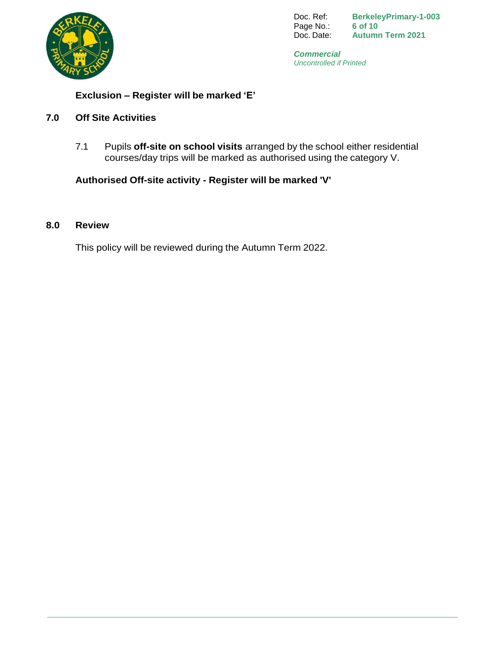

Doc. Ref: Page No.: Doc. Date: **BerkeleyPrimary-1-003 6 of 10 Autumn Term 2021**

*Commercial Uncontrolled if Printed*

# **Exclusion – Register will be marked 'E'**

#### **7.0 Off Site Activities**

7.1 Pupils **off-site on school visits** arranged by the school either residential courses/day trips will be marked as authorised using the category V.

# **Authorised Off-site activity - Register will be marked 'V'**

#### **8.0 Review**

This policy will be reviewed during the Autumn Term 2022.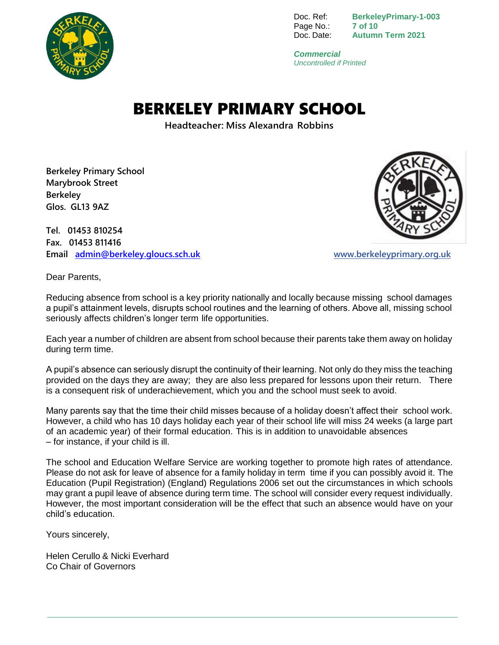

Doc. Ref: Page No.: Doc. Date: **BerkeleyPrimary-1-003 7 of 10 Autumn Term 2021**

*Commercial Uncontrolled if Printed*

# BERKELEY PRIMARY SCHOOL

**Headteacher: Miss Alexandra Robbins**

**Berkeley Primary School Marybrook Street Berkeley Glos. GL13 9AZ**

**Tel. 01453 810254 Fax. 01453 811416 Email [admin@berkeley.gloucs.sch.uk](mailto:admin@berkeley.gloucs.sch.uk) [www.berkeleyprimary.org.uk](http://www.berkeleyprimary.org.uk/)**



Dear Parents,

Reducing absence from school is a key priority nationally and locally because missing school damages a pupil's attainment levels, disrupts school routines and the learning of others. Above all, missing school seriously affects children's longer term life opportunities.

Each year a number of children are absent from school because their parents take them away on holiday during term time.

A pupil's absence can seriously disrupt the continuity of their learning. Not only do they miss the teaching provided on the days they are away; they are also less prepared for lessons upon their return. There is a consequent risk of underachievement, which you and the school must seek to avoid.

Many parents say that the time their child misses because of a holiday doesn't affect their school work. However, a child who has 10 days holiday each year of their school life will miss 24 weeks (a large part of an academic year) of their formal education. This is in addition to unavoidable absences – for instance, if your child is ill.

The school and Education Welfare Service are working together to promote high rates of attendance. Please do not ask for leave of absence for a family holiday in term time if you can possibly avoid it. The Education (Pupil Registration) (England) Regulations 2006 set out the circumstances in which schools may grant a pupil leave of absence during term time. The school will consider every request individually. However, the most important consideration will be the effect that such an absence would have on your child's education.

Yours sincerely,

Helen Cerullo & Nicki Everhard Co Chair of Governors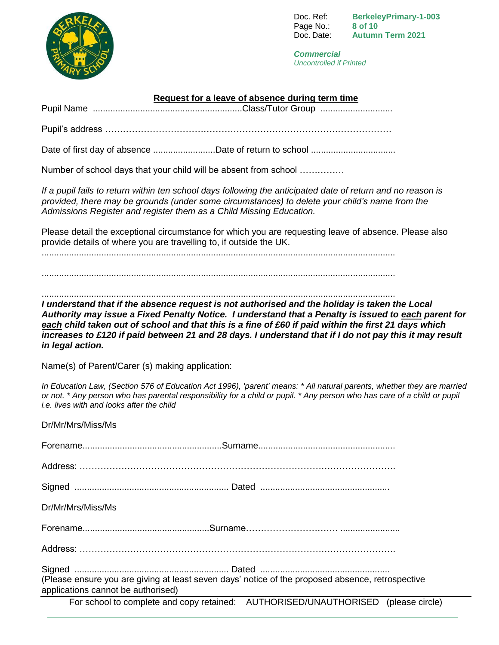

Doc. Ref: Page No.: Doc. Date: **BerkeleyPrimary-1-003 8 of 10 Autumn Term 2021**

*Commercial Uncontrolled if Printed*

#### **Request for a leave of absence during term time**

Pupil Name ............................................................Class/Tutor Group .............................

Pupil's address ……………………………………………………………………………………

Date of first day of absence .............................Date of return to school ..............................

Number of school days that your child will be absent from school ……………

*If a pupil fails to return within ten school days following the anticipated date of return and no reason is provided, there may be grounds (under some circumstances) to delete your child's name from the Admissions Register and register them as a Child Missing Education.*

Please detail the exceptional circumstance for which you are requesting leave of absence. Please also provide details of where you are travelling to, if outside the UK.

..............................................................................................................................................

..............................................................................................................................................

..............................................................................................................................................

*I understand that if the absence request is not authorised and the holiday is taken the Local Authority may issue a Fixed Penalty Notice. I understand that a Penalty is issued to each parent for each child taken out of school and that this is a fine of £60 if paid within the first 21 days which increases to £120 if paid between 21 and 28 days. I understand that if I do not pay this it may result in legal action.*

Name(s) of Parent/Carer (s) making application:

*In Education Law, (Section 576 of Education Act 1996), 'parent' means: \* All natural parents, whether they are married or not. \* Any person who has parental responsibility for a child or pupil. \* Any person who has care of a child or pupil i.e. lives with and looks after the child*

| Dr/Mr/Mrs/Miss/Ms                                                                                                                      |                                                                                   |
|----------------------------------------------------------------------------------------------------------------------------------------|-----------------------------------------------------------------------------------|
|                                                                                                                                        |                                                                                   |
|                                                                                                                                        |                                                                                   |
|                                                                                                                                        |                                                                                   |
| Dr/Mr/Mrs/Miss/Ms                                                                                                                      |                                                                                   |
|                                                                                                                                        |                                                                                   |
|                                                                                                                                        |                                                                                   |
|                                                                                                                                        |                                                                                   |
| (Please ensure you are giving at least seven days' notice of the proposed absence, retrospective<br>applications cannot be authorised) |                                                                                   |
|                                                                                                                                        | For school to complete and copy retained: AUTHORISED/UNAUTHORISED (please circle) |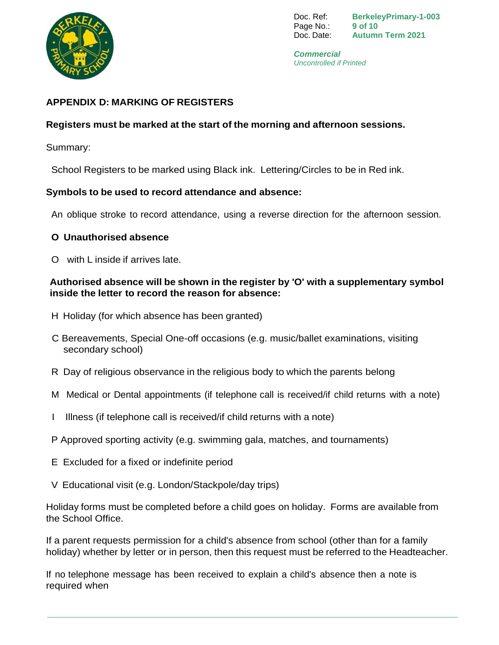

Doc. Ref: Page No.: Doc. Date: **BerkeleyPrimary-1-003 9 of 10 Autumn Term 2021**

*Commercial Uncontrolled if Printed*

# **APPENDIX D: MARKING OF REGISTERS**

#### **Registers must be marked at the start of the morning and afternoon sessions.**

Summary:

School Registers to be marked using Black ink. Lettering/Circles to be in Red ink.

#### **Symbols to be used to record attendance and absence:**

An oblique stroke to record attendance, using a reverse direction for the afternoon session.

#### **O Unauthorised absence**

O with L inside if arrives late.

#### **Authorised absence will be shown in the register by 'O' with a supplementary symbol inside the letter to record the reason for absence:**

- H Holiday (for which absence has been granted)
- C Bereavements, Special One-off occasions (e.g. music/ballet examinations, visiting secondary school)
- R Day of religious observance in the religious body to which the parents belong
- M Medical or Dental appointments (if telephone call is received/if child returns with a note)
- I Illness (if telephone call is received/if child returns with a note)
- P Approved sporting activity (e.g. swimming gala, matches, and tournaments)
- E Excluded for a fixed or indefinite period
- V Educational visit (e.g. London/Stackpole/day trips)

Holiday forms must be completed before a child goes on holiday. Forms are available from the School Office.

If a parent requests permission for a child's absence from school (other than for a family holiday) whether by letter or in person, then this request must be referred to the Headteacher.

If no telephone message has been received to explain a child's absence then a note is required when